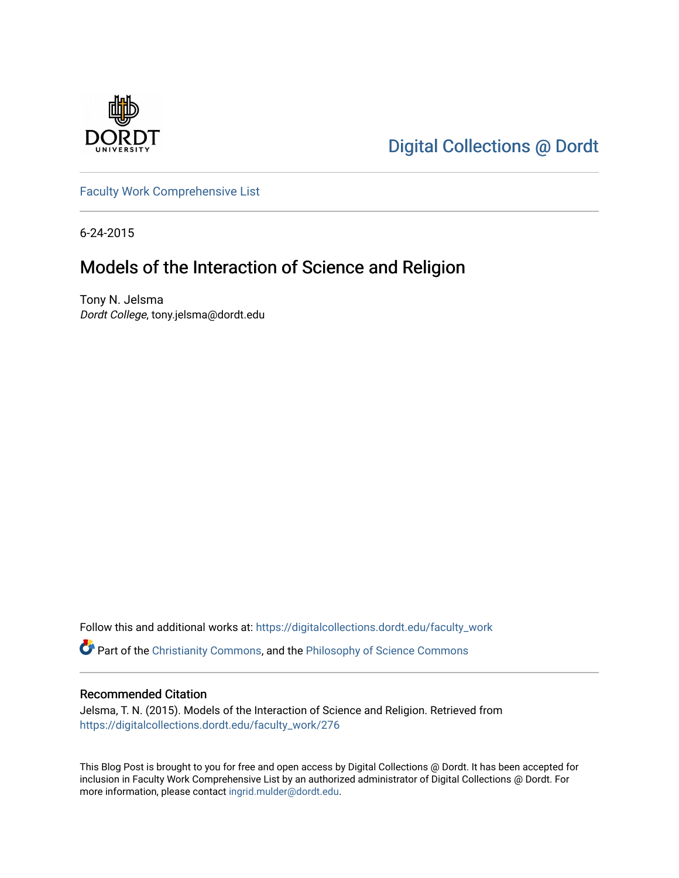

[Digital Collections @ Dordt](https://digitalcollections.dordt.edu/) 

[Faculty Work Comprehensive List](https://digitalcollections.dordt.edu/faculty_work)

6-24-2015

# Models of the Interaction of Science and Religion

Tony N. Jelsma Dordt College, tony.jelsma@dordt.edu

Follow this and additional works at: [https://digitalcollections.dordt.edu/faculty\\_work](https://digitalcollections.dordt.edu/faculty_work?utm_source=digitalcollections.dordt.edu%2Ffaculty_work%2F276&utm_medium=PDF&utm_campaign=PDFCoverPages) 

Part of the [Christianity Commons,](http://network.bepress.com/hgg/discipline/1181?utm_source=digitalcollections.dordt.edu%2Ffaculty_work%2F276&utm_medium=PDF&utm_campaign=PDFCoverPages) and the [Philosophy of Science Commons](http://network.bepress.com/hgg/discipline/536?utm_source=digitalcollections.dordt.edu%2Ffaculty_work%2F276&utm_medium=PDF&utm_campaign=PDFCoverPages) 

### Recommended Citation

Jelsma, T. N. (2015). Models of the Interaction of Science and Religion. Retrieved from [https://digitalcollections.dordt.edu/faculty\\_work/276](https://digitalcollections.dordt.edu/faculty_work/276?utm_source=digitalcollections.dordt.edu%2Ffaculty_work%2F276&utm_medium=PDF&utm_campaign=PDFCoverPages) 

This Blog Post is brought to you for free and open access by Digital Collections @ Dordt. It has been accepted for inclusion in Faculty Work Comprehensive List by an authorized administrator of Digital Collections @ Dordt. For more information, please contact [ingrid.mulder@dordt.edu.](mailto:ingrid.mulder@dordt.edu)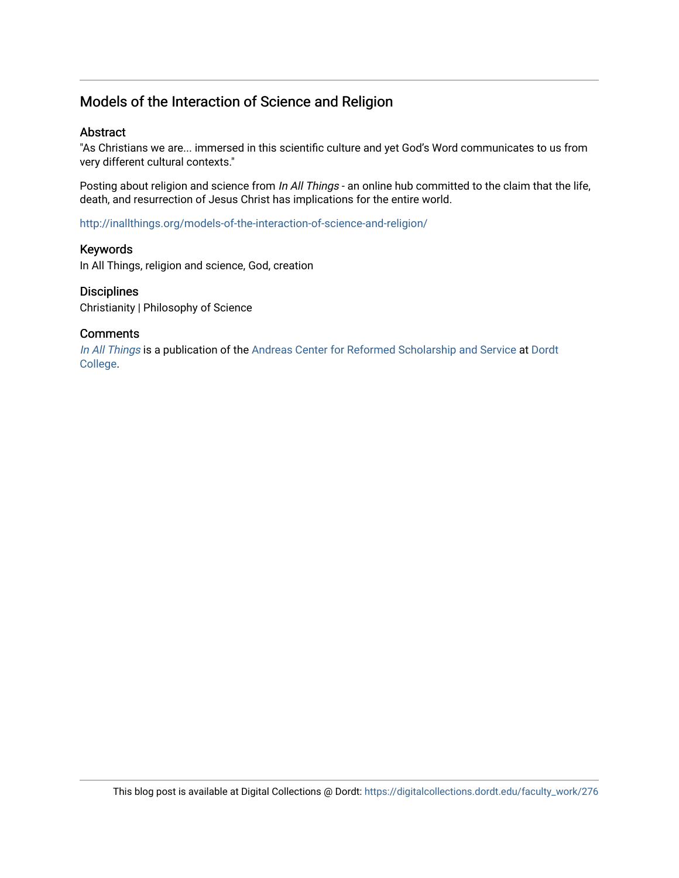# Models of the Interaction of Science and Religion

### Abstract

"As Christians we are... immersed in this scientific culture and yet God's Word communicates to us from very different cultural contexts."

Posting about religion and science from In All Things - an online hub committed to the claim that the life, death, and resurrection of Jesus Christ has implications for the entire world.

<http://inallthings.org/models-of-the-interaction-of-science-and-religion/>

### Keywords

In All Things, religion and science, God, creation

### **Disciplines**

Christianity | Philosophy of Science

### **Comments**

[In All Things](http://inallthings.org/) is a publication of the [Andreas Center for Reformed Scholarship and Service](http://www.dordt.edu/services_support/andreas_center/) at Dordt [College](http://www.dordt.edu/).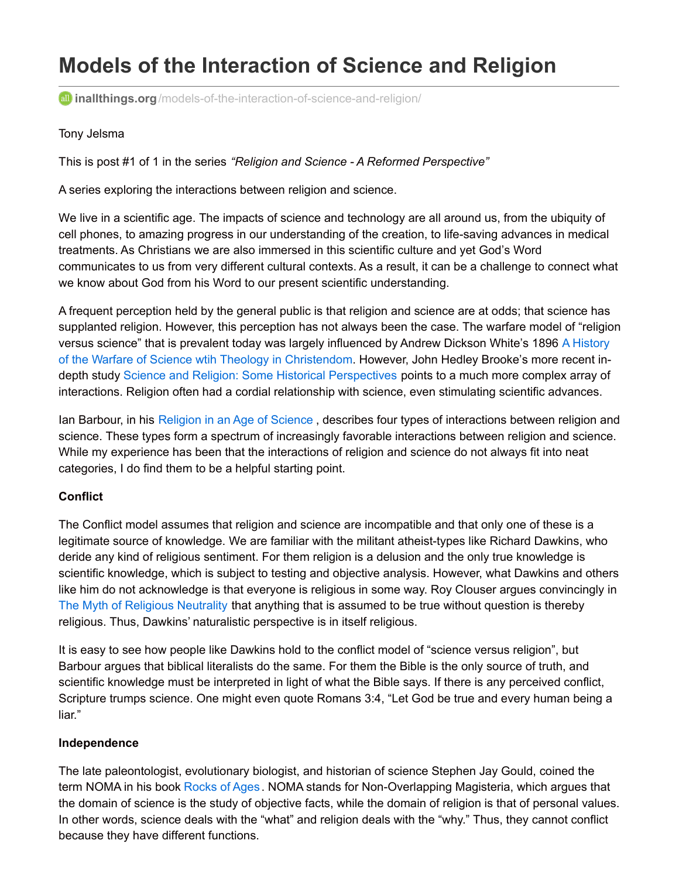# **Models of the Interaction of Science and Religion**

**inallthings.org**[/models-of-the-interaction-of-science-and-religion/](http://inallthings.org/models-of-the-interaction-of-science-and-religion/)

### Tony Jelsma

This is post #1 of 1 in the series *"Religion and Science - A Reformed Perspective"*

A series exploring the interactions between religion and science.

We live in a scientific age. The impacts of science and technology are all around us, from the ubiquity of cell phones, to amazing progress in our understanding of the creation, to life-saving advances in medical treatments. As Christians we are also immersed in this scientific culture and yet God's Word communicates to us from very different cultural contexts. As a result, it can be a challenge to connect what we know about God from his Word to our present scientific understanding.

A frequent perception held by the general public is that religion and science are at odds; that science has supplanted religion. However, this perception has not always been the case. The warfare model of "religion versus science" that is prevalent today was largely influenced by Andrew Dickson White's 1896 A History of the Warfare of Science wtih Theology in [Christendom.](http://dordt.worldcat.org/search?qt=affiliate_wcl_all&ai=wclocal_dordt&fq=&q=A+History+of+the+Warfare+of+Science+with+Theology+in+Christendom&wcsbtn2w=Go&scope=3&oldscope=) However, John Hedley Brooke's more recent indepth study Science and Religion: Some Historical [Perspectives](http://dordt.worldcat.org/search?q=Science+and+Religion%3A+Some+Historical+Perspectives&qt=notfound_page&scope=3&oldscope=3&fq=&search=Search) points to a much more complex array of interactions. Religion often had a cordial relationship with science, even stimulating scientific advances.

Ian Barbour, in his [Religion](http://dordt.worldcat.org/title/religion-in-an-age-of-science/oclc/20056132&referer=brief_results) in an Age of Science, describes four types of interactions between religion and science. These types form a spectrum of increasingly favorable interactions between religion and science. While my experience has been that the interactions of religion and science do not always fit into neat categories, I do find them to be a helpful starting point.

## **Conflict**

The Conflict model assumes that religion and science are incompatible and that only one of these is a legitimate source of knowledge. We are familiar with the militant atheist-types like Richard Dawkins, who deride any kind of religious sentiment. For them religion is a delusion and the only true knowledge is scientific knowledge, which is subject to testing and objective analysis. However, what Dawkins and others like him do not acknowledge is that everyone is religious in some way. Roy Clouser argues convincingly in The Myth of Religious [Neutrality](http://dordt.worldcat.org/title/myth-of-religious-neutrality-an-essay-on-the-hidden-role-of-religious-belief-in-theories/oclc/24375107&referer=brief_results) that anything that is assumed to be true without question is thereby religious. Thus, Dawkins' naturalistic perspective is in itself religious.

It is easy to see how people like Dawkins hold to the conflict model of "science versus religion", but Barbour argues that biblical literalists do the same. For them the Bible is the only source of truth, and scientific knowledge must be interpreted in light of what the Bible says. If there is any perceived conflict, Scripture trumps science. One might even quote Romans 3:4, "Let God be true and every human being a liar."

## **Independence**

The late paleontologist, evolutionary biologist, and historian of science Stephen Jay Gould, coined the term NOMA in his book [Rocks](http://dordt.worldcat.org/title/books-rocks-of-ages/oclc/95373332&referer=brief_results) of Ages. NOMA stands for Non-Overlapping Magisteria, which argues that the domain of science is the study of objective facts, while the domain of religion is that of personal values. In other words, science deals with the "what" and religion deals with the "why." Thus, they cannot conflict because they have different functions.